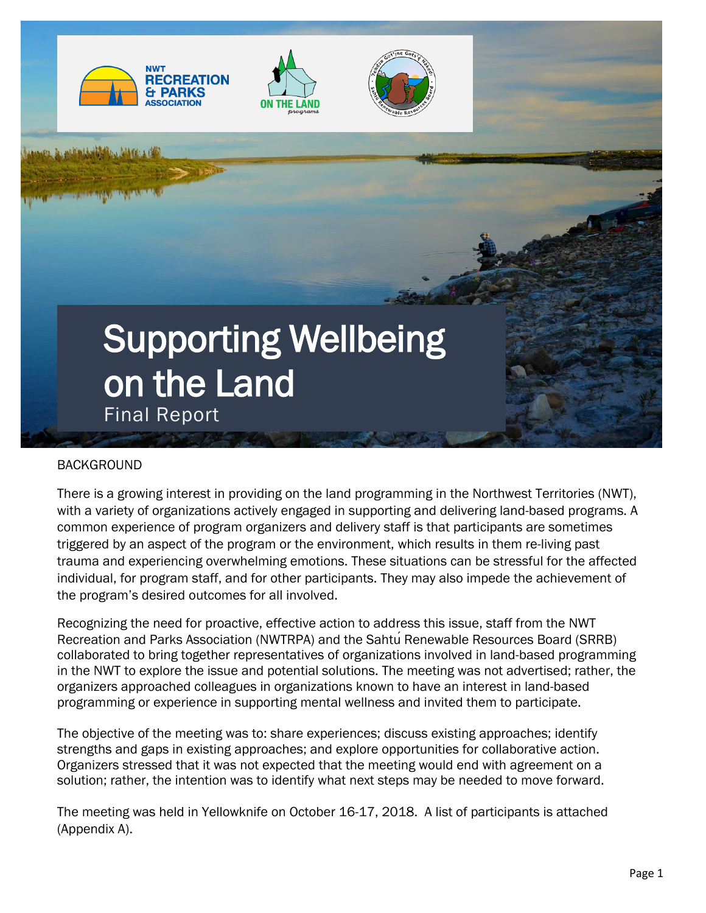







# BACKGROUND

There is a growing interest in providing on the land programming in the Northwest Territories (NWT), with a variety of organizations actively engaged in supporting and delivering land-based programs. A common experience of program organizers and delivery staff is that participants are sometimes triggered by an aspect of the program or the environment, which results in them re-living past trauma and experiencing overwhelming emotions. These situations can be stressful for the affected individual, for program staff, and for other participants. They may also impede the achievement of the program's desired outcomes for all involved.

Recognizing the need for proactive, effective action to address this issue, staff from the NWT Recreation and Parks Association (NWTRPA) and the Sahtu Renewable Resources Board (SRRB) collaborated to bring together representatives of organizations involved in land-based programming in the NWT to explore the issue and potential solutions. The meeting was not advertised; rather, the organizers approached colleagues in organizations known to have an interest in land-based programming or experience in supporting mental wellness and invited them to participate.

The objective of the meeting was to: share experiences; discuss existing approaches; identify strengths and gaps in existing approaches; and explore opportunities for collaborative action. Organizers stressed that it was not expected that the meeting would end with agreement on a solution; rather, the intention was to identify what next steps may be needed to move forward.

The meeting was held in Yellowknife on October 16-17, 2018. A list of participants is attached (Appendix A).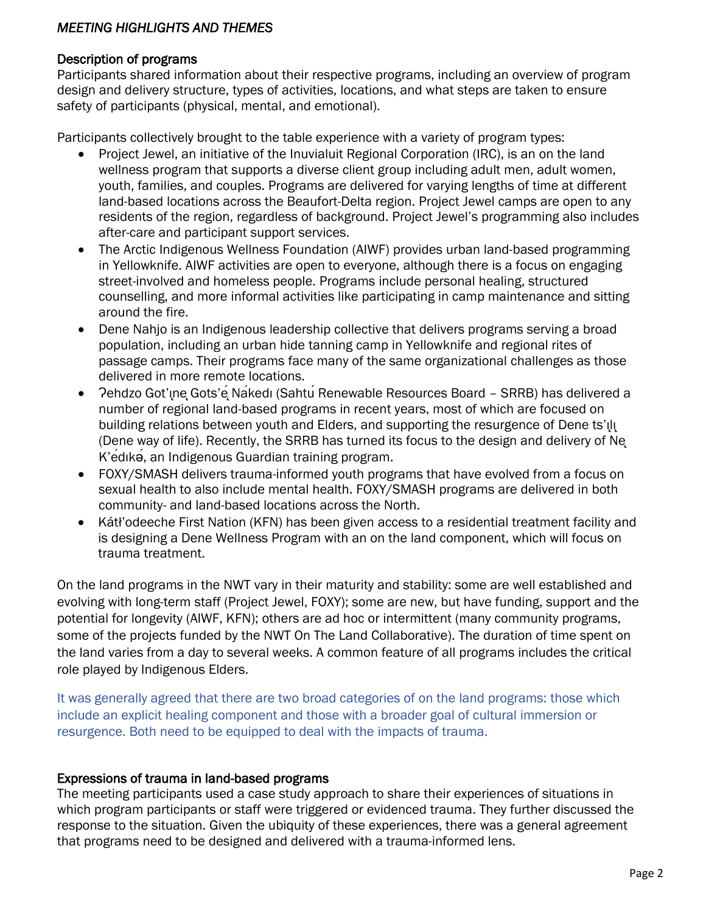### *MEETING HIGHLIGHTS AND THEMES*

#### Description of programs

Participants shared information about their respective programs, including an overview of program design and delivery structure, types of activities, locations, and what steps are taken to ensure safety of participants (physical, mental, and emotional).

Participants collectively brought to the table experience with a variety of program types:

- Project Jewel, an initiative of the Inuvialuit Regional Corporation (IRC), is an on the land wellness program that supports a diverse client group including adult men, adult women, youth, families, and couples. Programs are delivered for varying lengths of time at different land-based locations across the Beaufort-Delta region. Project Jewel camps are open to any residents of the region, regardless of background. Project Jewel's programming also includes after-care and participant support services.
- The Arctic Indigenous Wellness Foundation (AIWF) provides urban land-based programming in Yellowknife. AIWF activities are open to everyone, although there is a focus on engaging street-involved and homeless people. Programs include personal healing, structured counselling, and more informal activities like participating in camp maintenance and sitting around the fire.
- Dene Nahjo is an Indigenous leadership collective that delivers programs serving a broad population, including an urban hide tanning camp in Yellowknife and regional rites of passage camps. Their programs face many of the same organizational challenges as those delivered in more remote locations.
- Pehdzo Got'ine Gots'e Nakedi (Sahtú Renewable Resources Board SRRB) has delivered a number of regional land-based programs in recent years, most of which are focused on building relations between youth and Elders, and supporting the resurgence of Dene ts'ili (Dene way of life). Recently, the SRRB has turned its focus to the design and delivery of Nę K'édıkǝ́, an Indigenous Guardian training program.
- FOXY/SMASH delivers trauma-informed youth programs that have evolved from a focus on sexual health to also include mental health. FOXY/SMASH programs are delivered in both community- and land-based locations across the North.
- Kátł'odeeche First Nation (KFN) has been given access to a residential treatment facility and is designing a Dene Wellness Program with an on the land component, which will focus on trauma treatment.

On the land programs in the NWT vary in their maturity and stability: some are well established and evolving with long-term staff (Project Jewel, FOXY); some are new, but have funding, support and the potential for longevity (AIWF, KFN); others are ad hoc or intermittent (many community programs, some of the projects funded by the NWT On The Land Collaborative). The duration of time spent on the land varies from a day to several weeks. A common feature of all programs includes the critical role played by Indigenous Elders.

It was generally agreed that there are two broad categories of on the land programs: those which include an explicit healing component and those with a broader goal of cultural immersion or resurgence. Both need to be equipped to deal with the impacts of trauma.

#### Expressions of trauma in land-based programs

The meeting participants used a case study approach to share their experiences of situations in which program participants or staff were triggered or evidenced trauma. They further discussed the response to the situation. Given the ubiquity of these experiences, there was a general agreement that programs need to be designed and delivered with a trauma-informed lens.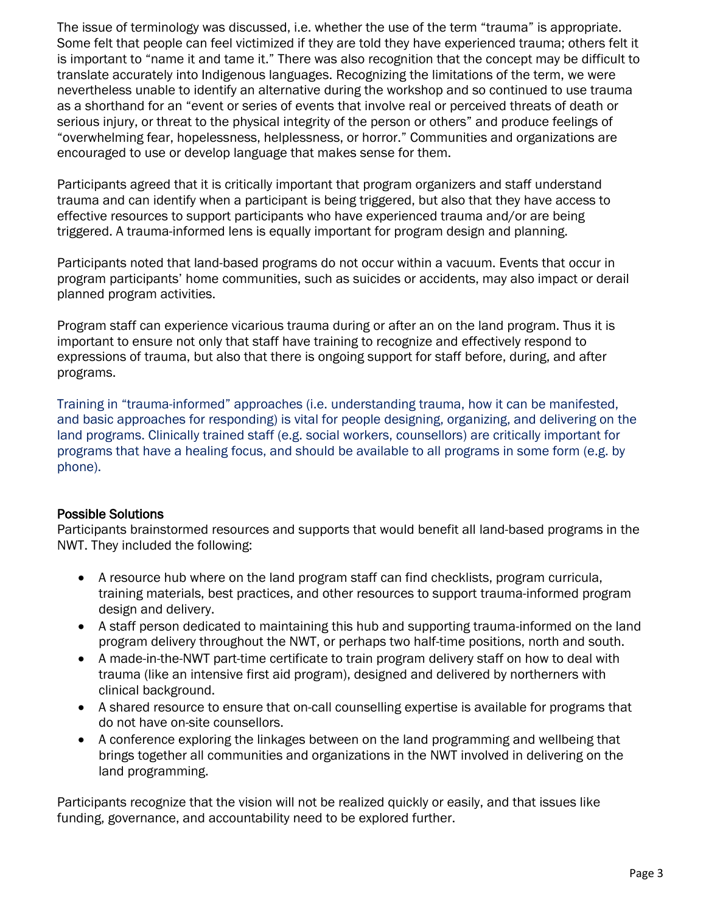The issue of terminology was discussed, i.e. whether the use of the term "trauma" is appropriate. Some felt that people can feel victimized if they are told they have experienced trauma; others felt it is important to "name it and tame it." There was also recognition that the concept may be difficult to translate accurately into Indigenous languages. Recognizing the limitations of the term, we were nevertheless unable to identify an alternative during the workshop and so continued to use trauma as a shorthand for an "event or series of events that involve real or perceived threats of death or serious injury, or threat to the physical integrity of the person or others" and produce feelings of "overwhelming fear, hopelessness, helplessness, or horror." Communities and organizations are encouraged to use or develop language that makes sense for them.

Participants agreed that it is critically important that program organizers and staff understand trauma and can identify when a participant is being triggered, but also that they have access to effective resources to support participants who have experienced trauma and/or are being triggered. A trauma-informed lens is equally important for program design and planning.

Participants noted that land-based programs do not occur within a vacuum. Events that occur in program participants' home communities, such as suicides or accidents, may also impact or derail planned program activities.

Program staff can experience vicarious trauma during or after an on the land program. Thus it is important to ensure not only that staff have training to recognize and effectively respond to expressions of trauma, but also that there is ongoing support for staff before, during, and after programs.

Training in "trauma-informed" approaches (i.e. understanding trauma, how it can be manifested, and basic approaches for responding) is vital for people designing, organizing, and delivering on the land programs. Clinically trained staff (e.g. social workers, counsellors) are critically important for programs that have a healing focus, and should be available to all programs in some form (e.g. by phone).

# Possible Solutions

Participants brainstormed resources and supports that would benefit all land-based programs in the NWT. They included the following:

- A resource hub where on the land program staff can find checklists, program curricula, training materials, best practices, and other resources to support trauma-informed program design and delivery.
- A staff person dedicated to maintaining this hub and supporting trauma-informed on the land program delivery throughout the NWT, or perhaps two half-time positions, north and south.
- A made-in-the-NWT part-time certificate to train program delivery staff on how to deal with trauma (like an intensive first aid program), designed and delivered by northerners with clinical background.
- A shared resource to ensure that on-call counselling expertise is available for programs that do not have on-site counsellors.
- A conference exploring the linkages between on the land programming and wellbeing that brings together all communities and organizations in the NWT involved in delivering on the land programming.

Participants recognize that the vision will not be realized quickly or easily, and that issues like funding, governance, and accountability need to be explored further.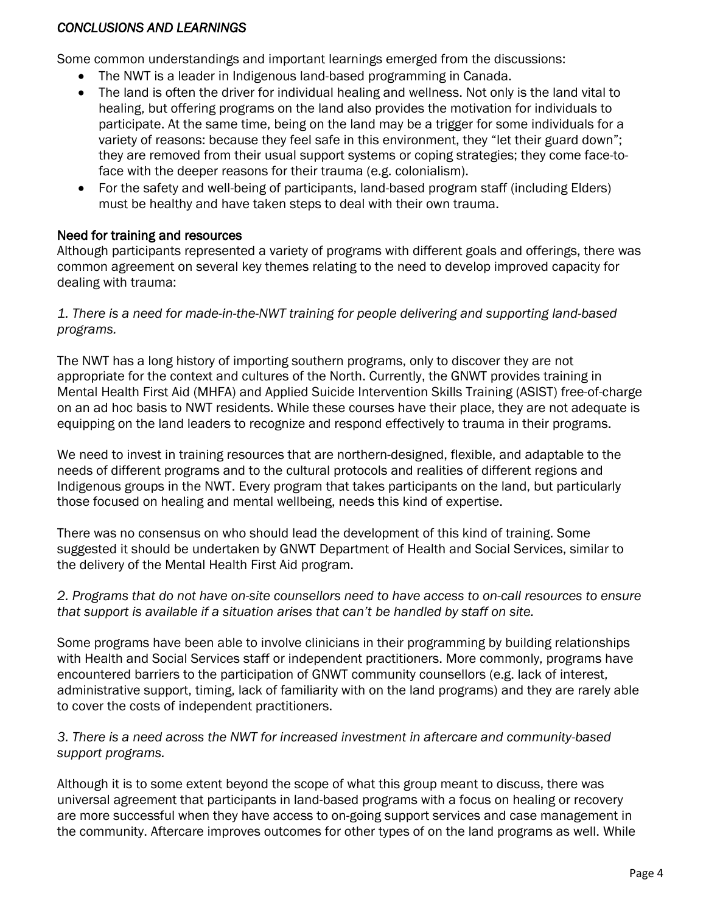### *CONCLUSIONS AND LEARNINGS*

Some common understandings and important learnings emerged from the discussions:

- The NWT is a leader in Indigenous land-based programming in Canada.
- The land is often the driver for individual healing and wellness. Not only is the land vital to healing, but offering programs on the land also provides the motivation for individuals to participate. At the same time, being on the land may be a trigger for some individuals for a variety of reasons: because they feel safe in this environment, they "let their guard down"; they are removed from their usual support systems or coping strategies; they come face-toface with the deeper reasons for their trauma (e.g. colonialism).
- For the safety and well-being of participants, land-based program staff (including Elders) must be healthy and have taken steps to deal with their own trauma.

### Need for training and resources

Although participants represented a variety of programs with different goals and offerings, there was common agreement on several key themes relating to the need to develop improved capacity for dealing with trauma:

### *1. There is a need for made-in-the-NWT training for people delivering and supporting land-based programs.*

The NWT has a long history of importing southern programs, only to discover they are not appropriate for the context and cultures of the North. Currently, the GNWT provides training in Mental Health First Aid (MHFA) and Applied Suicide Intervention Skills Training (ASIST) free-of-charge on an ad hoc basis to NWT residents. While these courses have their place, they are not adequate is equipping on the land leaders to recognize and respond effectively to trauma in their programs.

We need to invest in training resources that are northern-designed, flexible, and adaptable to the needs of different programs and to the cultural protocols and realities of different regions and Indigenous groups in the NWT. Every program that takes participants on the land, but particularly those focused on healing and mental wellbeing, needs this kind of expertise.

There was no consensus on who should lead the development of this kind of training. Some suggested it should be undertaken by GNWT Department of Health and Social Services, similar to the delivery of the Mental Health First Aid program.

### *2. Programs that do not have on-site counsellors need to have access to on-call resources to ensure that support is available if a situation arises that can't be handled by staff on site.*

Some programs have been able to involve clinicians in their programming by building relationships with Health and Social Services staff or independent practitioners. More commonly, programs have encountered barriers to the participation of GNWT community counsellors (e.g. lack of interest, administrative support, timing, lack of familiarity with on the land programs) and they are rarely able to cover the costs of independent practitioners.

### *3. There is a need across the NWT for increased investment in aftercare and community-based support programs.*

Although it is to some extent beyond the scope of what this group meant to discuss, there was universal agreement that participants in land-based programs with a focus on healing or recovery are more successful when they have access to on-going support services and case management in the community. Aftercare improves outcomes for other types of on the land programs as well. While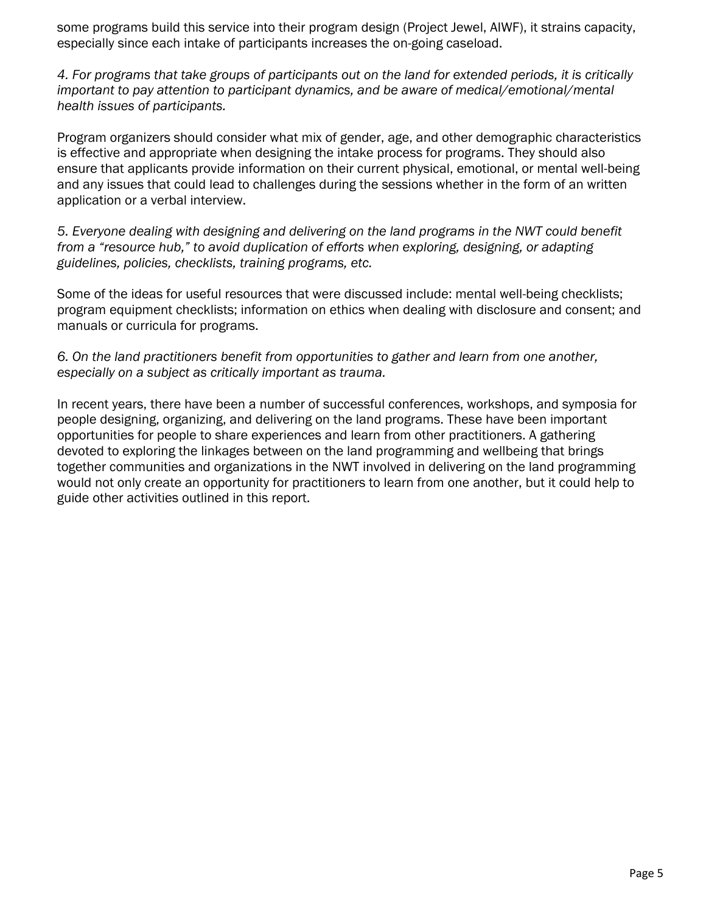some programs build this service into their program design (Project Jewel, AIWF), it strains capacity, especially since each intake of participants increases the on-going caseload.

*4. For programs that take groups of participants out on the land for extended periods, it is critically important to pay attention to participant dynamics, and be aware of medical/emotional/mental health issues of participants.* 

Program organizers should consider what mix of gender, age, and other demographic characteristics is effective and appropriate when designing the intake process for programs. They should also ensure that applicants provide information on their current physical, emotional, or mental well-being and any issues that could lead to challenges during the sessions whether in the form of an written application or a verbal interview.

*5. Everyone dealing with designing and delivering on the land programs in the NWT could benefit from a "resource hub," to avoid duplication of efforts when exploring, designing, or adapting guidelines, policies, checklists, training programs, etc.*

Some of the ideas for useful resources that were discussed include: mental well-being checklists; program equipment checklists; information on ethics when dealing with disclosure and consent; and manuals or curricula for programs.

*6. On the land practitioners benefit from opportunities to gather and learn from one another, especially on a subject as critically important as trauma.*

In recent years, there have been a number of successful conferences, workshops, and symposia for people designing, organizing, and delivering on the land programs. These have been important opportunities for people to share experiences and learn from other practitioners. A gathering devoted to exploring the linkages between on the land programming and wellbeing that brings together communities and organizations in the NWT involved in delivering on the land programming would not only create an opportunity for practitioners to learn from one another, but it could help to guide other activities outlined in this report.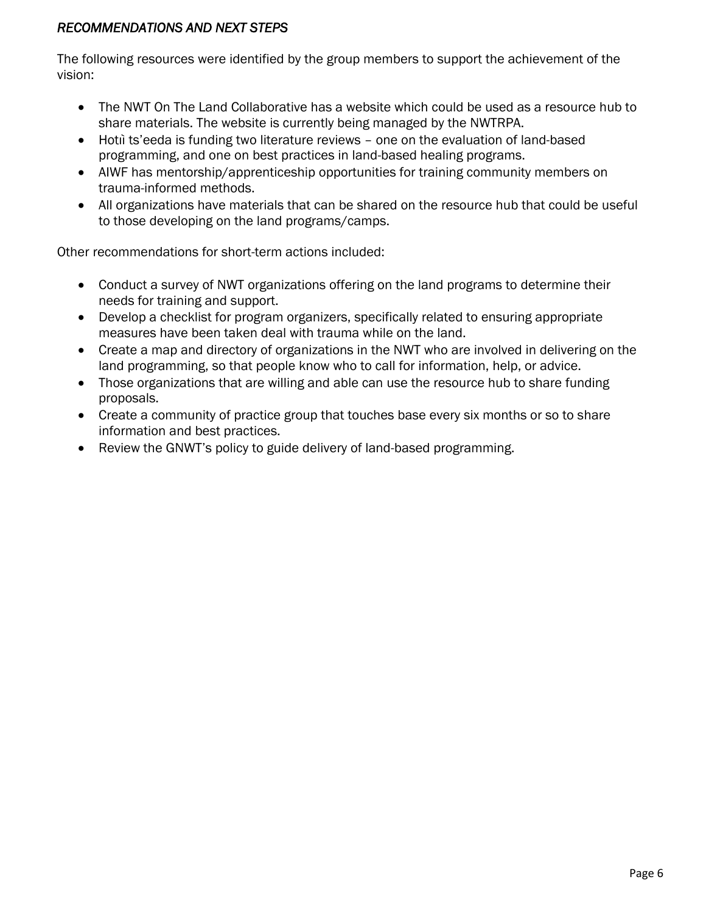# *RECOMMENDATIONS AND NEXT STEPS*

The following resources were identified by the group members to support the achievement of the vision:

- The NWT On The Land Collaborative has a website which could be used as a resource hub to share materials. The website is currently being managed by the NWTRPA.
- Hotiì ts'eeda is funding two literature reviews one on the evaluation of land-based programming, and one on best practices in land-based healing programs.
- AIWF has mentorship/apprenticeship opportunities for training community members on trauma-informed methods.
- All organizations have materials that can be shared on the resource hub that could be useful to those developing on the land programs/camps.

Other recommendations for short-term actions included:

- Conduct a survey of NWT organizations offering on the land programs to determine their needs for training and support.
- Develop a checklist for program organizers, specifically related to ensuring appropriate measures have been taken deal with trauma while on the land.
- Create a map and directory of organizations in the NWT who are involved in delivering on the land programming, so that people know who to call for information, help, or advice.
- Those organizations that are willing and able can use the resource hub to share funding proposals.
- Create a community of practice group that touches base every six months or so to share information and best practices.
- Review the GNWT's policy to guide delivery of land-based programming.